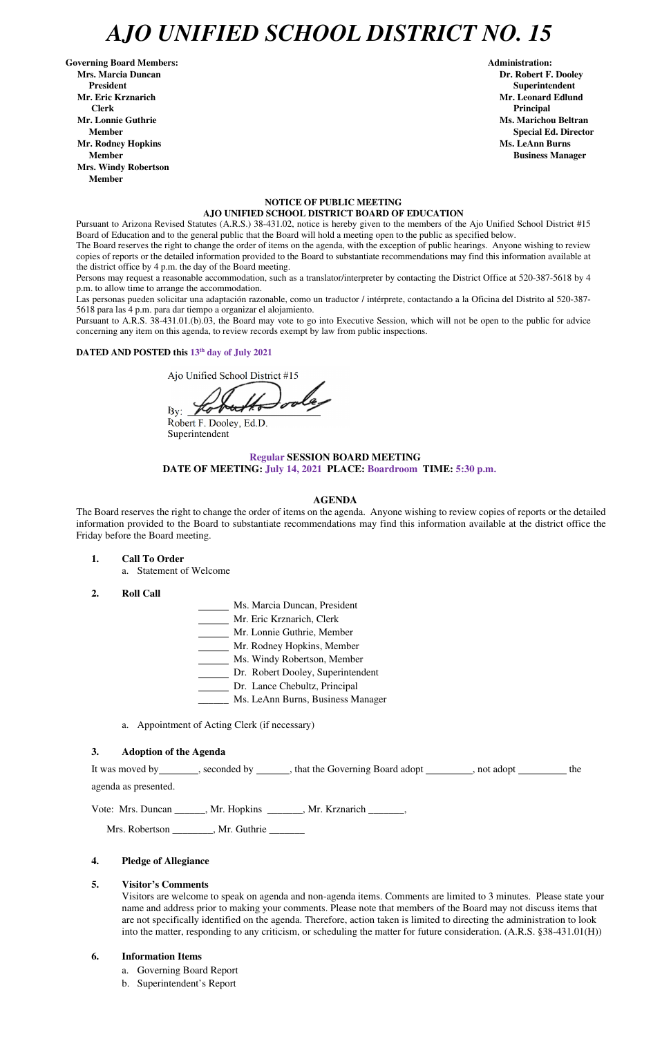## *AJO UNIFIED SCHOOL DISTRICT NO. 15*

Governing Board Members: **Administration: Administration: Administration: Mrs. Marcia Duncan Dr. Robert F. Dooley President Superintendent in the set of the set of the set of the set of the set of the Superintendent Superintendent Mr. Eric Krznarich Mr. Leonard Edlund Clerk Principal Mr. Lonnie Guthrie Ms. Marichou Beltran** *Ms. Marichou Beltran* **<b>Ms. Marichou Beltran Mr. Rodney Hopkins Ms. LeAnn Burns in the United States of the United States of the United States of the United States of the United States of the United States of the United States of the United States of the United Sta Member Business Manager Business Manager Business Manager Mrs. Windy Robertson Member** 

#### **NOTICE OF PUBLIC MEETING AJO UNIFIED SCHOOL DISTRICT BOARD OF EDUCATION**

Pursuant to Arizona Revised Statutes (A.R.S.) 38-431.02, notice is hereby given to the members of the Ajo Unified School District #15 Board of Education and to the general public that the Board will hold a meeting open to the public as specified below.

The Board reserves the right to change the order of items on the agenda, with the exception of public hearings. Anyone wishing to review copies of reports or the detailed information provided to the Board to substantiate recommendations may find this information available at the district office by 4 p.m. the day of the Board meeting.

Persons may request a reasonable accommodation, such as a translator/interpreter by contacting the District Office at 520-387-5618 by 4 p.m. to allow time to arrange the accommodation.

Las personas pueden solicitar una adaptación razonable, como un traductor / intérprete, contactando a la Oficina del Distrito al 520-387- 5618 para las 4 p.m. para dar tiempo a organizar el alojamiento.

It was moved by \_\_\_\_\_\_\_, seconded by \_\_\_\_\_\_\_, that the Governing Board adopt \_\_\_\_\_\_\_\_, not adopt \_\_\_\_\_\_\_\_\_ the agenda as presented.

Pursuant to A.R.S. 38-431.01.(b).03, the Board may vote to go into Executive Session, which will not be open to the public for advice concerning any item on this agenda, to review records exempt by law from public inspections.

**DATED AND POSTED this 13th day of July 2021**

Ajo Unified School District #15

 $\mathbf{By:}$ 

Robert F. Dooley, Ed.D. Superintendent

## **Regular SESSION BOARD MEETING DATE OF MEETING: July 14, 2021 PLACE: Boardroom TIME: 5:30 p.m.**

### **AGENDA**

The Board reserves the right to change the order of items on the agenda. Anyone wishing to review copies of reports or the detailed information provided to the Board to substantiate recommendations may find this information available at the district office the Friday before the Board meeting.

- **1. Call To Order** 
	- a. Statement of Welcome
- **2. Roll Call**
- Ms. Marcia Duncan, President
- Mr. Eric Krznarich, Clerk
- Mr. Lonnie Guthrie, Member
- Mr. Rodney Hopkins, Member
- Ms. Windy Robertson, Member
- Dr. Robert Dooley, Superintendent
- Dr. Lance Chebultz, Principal
- \_\_\_\_\_\_ Ms. LeAnn Burns, Business Manager
- a. Appointment of Acting Clerk (if necessary)

### **3. Adoption of the Agenda**

 **Member** Special Ed. Director **Special Ed. Director** 

Vote: Mrs. Duncan \_\_\_\_\_\_, Mr. Hopkins \_\_\_\_\_\_\_, Mr. Krznarich \_\_\_\_\_\_\_,

Mrs. Robertson \_\_\_\_\_\_\_, Mr. Guthrie \_\_\_\_\_\_\_

### **4. Pledge of Allegiance**

### **5. Visitor's Comments**

Visitors are welcome to speak on agenda and non-agenda items. Comments are limited to 3 minutes. Please state your name and address prior to making your comments. Please note that members of the Board may not discuss items that are not specifically identified on the agenda. Therefore, action taken is limited to directing the administration to look into the matter, responding to any criticism, or scheduling the matter for future consideration. (A.R.S. §38-431.01(H))

### **6. Information Items**

- a. Governing Board Report
- b. Superintendent's Report